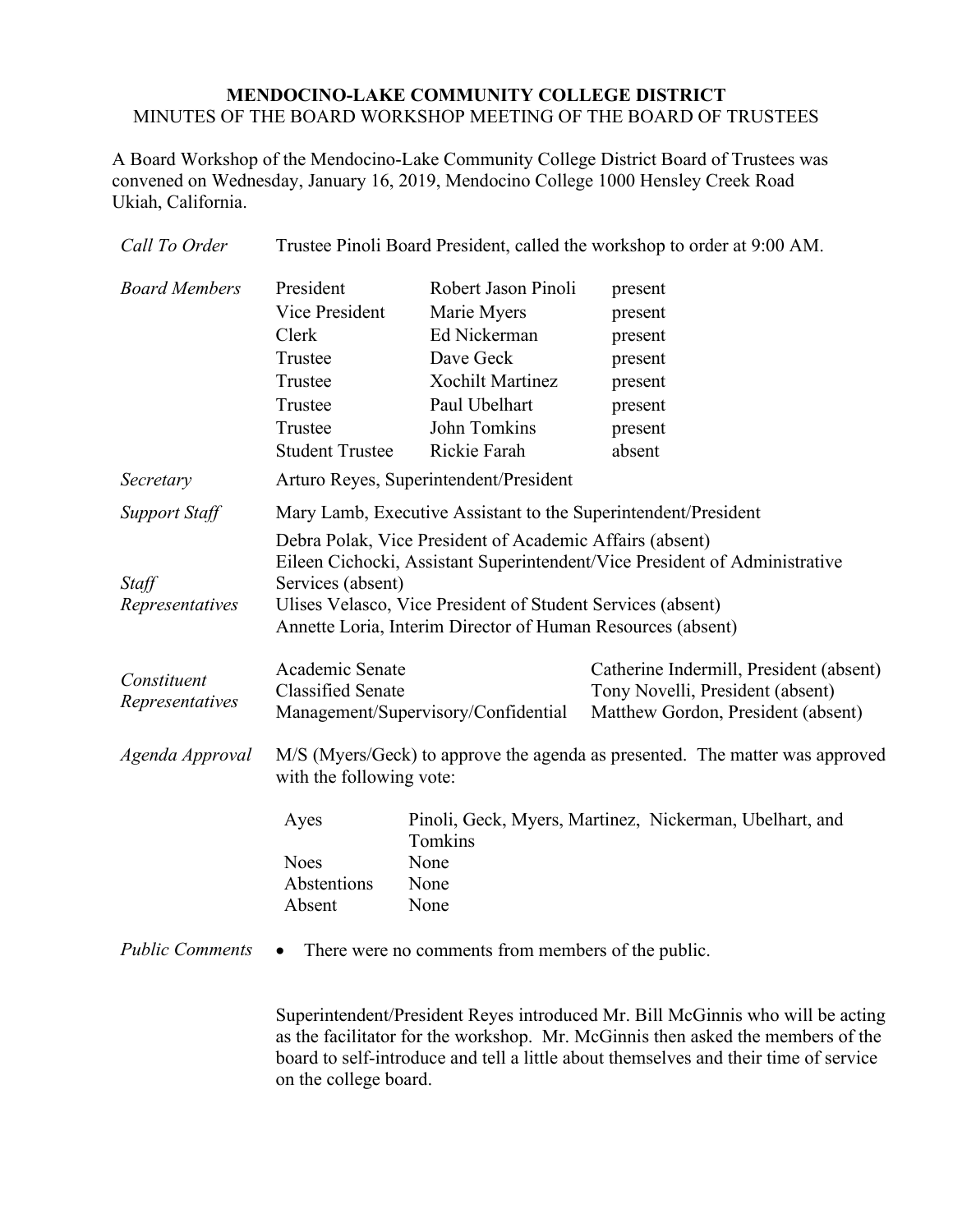## **MENDOCINO-LAKE COMMUNITY COLLEGE DISTRICT** MINUTES OF THE BOARD WORKSHOP MEETING OF THE BOARD OF TRUSTEES

A Board Workshop of the Mendocino-Lake Community College District Board of Trustees was convened on Wednesday, January 16, 2019, Mendocino College 1000 Hensley Creek Road Ukiah, California.

| Call To Order                  | Trustee Pinoli Board President, called the workshop to order at 9:00 AM.                                                                                                                                                      |                                                                                                                                             |                                                                                                                   |  |
|--------------------------------|-------------------------------------------------------------------------------------------------------------------------------------------------------------------------------------------------------------------------------|---------------------------------------------------------------------------------------------------------------------------------------------|-------------------------------------------------------------------------------------------------------------------|--|
| <b>Board Members</b>           | President<br>Vice President<br>Clerk<br>Trustee<br>Trustee<br>Trustee<br>Trustee<br><b>Student Trustee</b>                                                                                                                    | Robert Jason Pinoli<br>Marie Myers<br>Ed Nickerman<br>Dave Geck<br><b>Xochilt Martinez</b><br>Paul Ubelhart<br>John Tomkins<br>Rickie Farah | present<br>present<br>present<br>present<br>present<br>present<br>present<br>absent                               |  |
| Secretary                      | Arturo Reyes, Superintendent/President                                                                                                                                                                                        |                                                                                                                                             |                                                                                                                   |  |
| <b>Support Staff</b>           | Mary Lamb, Executive Assistant to the Superintendent/President<br>Debra Polak, Vice President of Academic Affairs (absent)                                                                                                    |                                                                                                                                             |                                                                                                                   |  |
| Staff<br>Representatives       | Eileen Cichocki, Assistant Superintendent/Vice President of Administrative<br>Services (absent)<br>Ulises Velasco, Vice President of Student Services (absent)<br>Annette Loria, Interim Director of Human Resources (absent) |                                                                                                                                             |                                                                                                                   |  |
| Constituent<br>Representatives | Academic Senate<br><b>Classified Senate</b><br>Management/Supervisory/Confidential                                                                                                                                            |                                                                                                                                             | Catherine Indermill, President (absent)<br>Tony Novelli, President (absent)<br>Matthew Gordon, President (absent) |  |
| Agenda Approval                | M/S (Myers/Geck) to approve the agenda as presented. The matter was approved<br>with the following vote:                                                                                                                      |                                                                                                                                             |                                                                                                                   |  |
|                                | Ayes<br><b>Noes</b><br>Abstentions<br>Absent                                                                                                                                                                                  | Pinoli, Geck, Myers, Martinez, Nickerman, Ubelhart, and<br>Tomkins<br>None<br>None<br>None                                                  |                                                                                                                   |  |
| <b>Public Comments</b>         | There were no comments from members of the public.                                                                                                                                                                            |                                                                                                                                             |                                                                                                                   |  |

Superintendent/President Reyes introduced Mr. Bill McGinnis who will be acting as the facilitator for the workshop. Mr. McGinnis then asked the members of the board to self-introduce and tell a little about themselves and their time of service on the college board.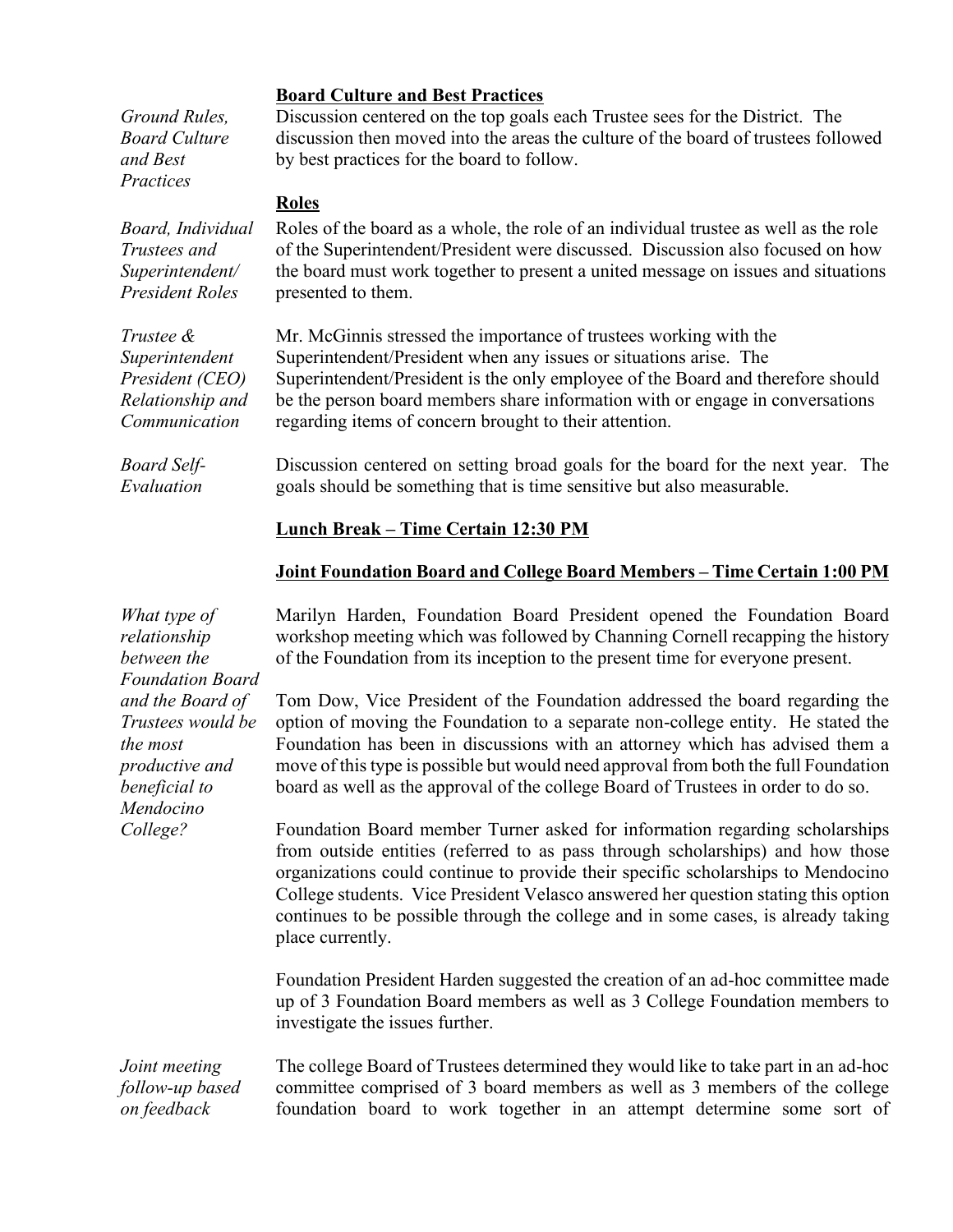| Ground Rules,<br>Board Culture<br>and Best<br>Practices                                                         | <b>Board Culture and Best Practices</b><br>Discussion centered on the top goals each Trustee sees for the District. The<br>discussion then moved into the areas the culture of the board of trustees followed<br>by best practices for the board to follow.                                                                                                                                                                                      |  |  |  |
|-----------------------------------------------------------------------------------------------------------------|--------------------------------------------------------------------------------------------------------------------------------------------------------------------------------------------------------------------------------------------------------------------------------------------------------------------------------------------------------------------------------------------------------------------------------------------------|--|--|--|
|                                                                                                                 | <b>Roles</b>                                                                                                                                                                                                                                                                                                                                                                                                                                     |  |  |  |
| Board, Individual<br>Trustees and<br>Superintendent/<br>President Roles                                         | Roles of the board as a whole, the role of an individual trustee as well as the role<br>of the Superintendent/President were discussed. Discussion also focused on how<br>the board must work together to present a united message on issues and situations<br>presented to them.                                                                                                                                                                |  |  |  |
| Trustee &<br>Superintendent<br>President (CEO)<br>Relationship and<br>Communication                             | Mr. McGinnis stressed the importance of trustees working with the<br>Superintendent/President when any issues or situations arise. The<br>Superintendent/President is the only employee of the Board and therefore should<br>be the person board members share information with or engage in conversations<br>regarding items of concern brought to their attention.                                                                             |  |  |  |
| Board Self-<br>Evaluation                                                                                       | Discussion centered on setting broad goals for the board for the next year. The<br>goals should be something that is time sensitive but also measurable.                                                                                                                                                                                                                                                                                         |  |  |  |
|                                                                                                                 | <b>Lunch Break - Time Certain 12:30 PM</b>                                                                                                                                                                                                                                                                                                                                                                                                       |  |  |  |
|                                                                                                                 | Joint Foundation Board and College Board Members - Time Certain 1:00 PM                                                                                                                                                                                                                                                                                                                                                                          |  |  |  |
| What type of<br>relationship<br>between the                                                                     | Marilyn Harden, Foundation Board President opened the Foundation Board<br>workshop meeting which was followed by Channing Cornell recapping the history<br>of the Foundation from its inception to the present time for everyone present.                                                                                                                                                                                                        |  |  |  |
| <b>Foundation Board</b><br>and the Board of<br>Trustees would be<br>the most<br>productive and<br>beneficial to | Tom Dow, Vice President of the Foundation addressed the board regarding the<br>option of moving the Foundation to a separate non-college entity. He stated the<br>Foundation has been in discussions with an attorney which has advised them a<br>move of this type is possible but would need approval from both the full Foundation<br>board as well as the approval of the college Board of Trustees in order to do so.                       |  |  |  |
| Mendocino<br>College?                                                                                           | Foundation Board member Turner asked for information regarding scholarships<br>from outside entities (referred to as pass through scholarships) and how those<br>organizations could continue to provide their specific scholarships to Mendocino<br>College students. Vice President Velasco answered her question stating this option<br>continues to be possible through the college and in some cases, is already taking<br>place currently. |  |  |  |
|                                                                                                                 | Foundation President Harden suggested the creation of an ad-hoc committee made<br>up of 3 Foundation Board members as well as 3 College Foundation members to                                                                                                                                                                                                                                                                                    |  |  |  |

*Joint meeting follow-up based on feedback*  The college Board of Trustees determined they would like to take part in an ad-hoc committee comprised of 3 board members as well as 3 members of the college foundation board to work together in an attempt determine some sort of

investigate the issues further.